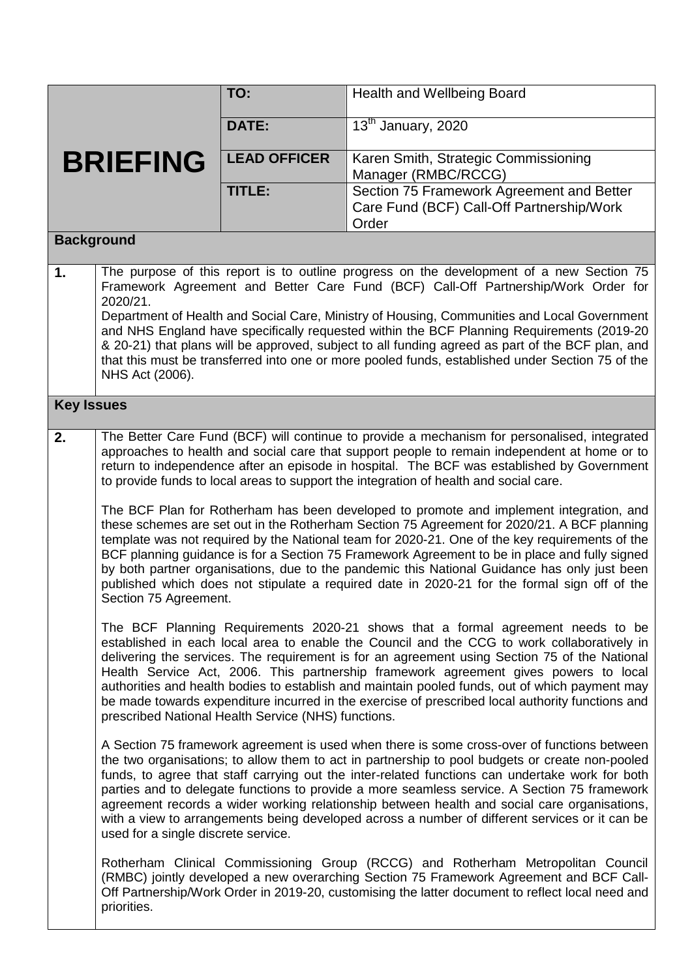|                   |                                                                                                                                                                                                                                                                                                                                                                                                                                                                                                                                                                                                                                                                                                                                                                                                                                                                                                                                                                                                           | TO:                 | <b>Health and Wellbeing Board</b>                                                                                                                                                                                                                                                                                                                                                                                                                                                                                                                                                                   |  |
|-------------------|-----------------------------------------------------------------------------------------------------------------------------------------------------------------------------------------------------------------------------------------------------------------------------------------------------------------------------------------------------------------------------------------------------------------------------------------------------------------------------------------------------------------------------------------------------------------------------------------------------------------------------------------------------------------------------------------------------------------------------------------------------------------------------------------------------------------------------------------------------------------------------------------------------------------------------------------------------------------------------------------------------------|---------------------|-----------------------------------------------------------------------------------------------------------------------------------------------------------------------------------------------------------------------------------------------------------------------------------------------------------------------------------------------------------------------------------------------------------------------------------------------------------------------------------------------------------------------------------------------------------------------------------------------------|--|
|                   |                                                                                                                                                                                                                                                                                                                                                                                                                                                                                                                                                                                                                                                                                                                                                                                                                                                                                                                                                                                                           | <b>DATE:</b>        | 13 <sup>th</sup> January, 2020                                                                                                                                                                                                                                                                                                                                                                                                                                                                                                                                                                      |  |
|                   | <b>BRIEFING</b>                                                                                                                                                                                                                                                                                                                                                                                                                                                                                                                                                                                                                                                                                                                                                                                                                                                                                                                                                                                           | <b>LEAD OFFICER</b> | Karen Smith, Strategic Commissioning<br>Manager (RMBC/RCCG)                                                                                                                                                                                                                                                                                                                                                                                                                                                                                                                                         |  |
|                   |                                                                                                                                                                                                                                                                                                                                                                                                                                                                                                                                                                                                                                                                                                                                                                                                                                                                                                                                                                                                           | <b>TITLE:</b>       | Section 75 Framework Agreement and Better<br>Care Fund (BCF) Call-Off Partnership/Work<br>Order                                                                                                                                                                                                                                                                                                                                                                                                                                                                                                     |  |
| <b>Background</b> |                                                                                                                                                                                                                                                                                                                                                                                                                                                                                                                                                                                                                                                                                                                                                                                                                                                                                                                                                                                                           |                     |                                                                                                                                                                                                                                                                                                                                                                                                                                                                                                                                                                                                     |  |
| 1.                | The purpose of this report is to outline progress on the development of a new Section 75<br>Framework Agreement and Better Care Fund (BCF) Call-Off Partnership/Work Order for<br>2020/21.<br>Department of Health and Social Care, Ministry of Housing, Communities and Local Government<br>and NHS England have specifically requested within the BCF Planning Requirements (2019-20<br>& 20-21) that plans will be approved, subject to all funding agreed as part of the BCF plan, and<br>that this must be transferred into one or more pooled funds, established under Section 75 of the<br>NHS Act (2006).                                                                                                                                                                                                                                                                                                                                                                                         |                     |                                                                                                                                                                                                                                                                                                                                                                                                                                                                                                                                                                                                     |  |
| <b>Key Issues</b> |                                                                                                                                                                                                                                                                                                                                                                                                                                                                                                                                                                                                                                                                                                                                                                                                                                                                                                                                                                                                           |                     |                                                                                                                                                                                                                                                                                                                                                                                                                                                                                                                                                                                                     |  |
| 2.                | The Better Care Fund (BCF) will continue to provide a mechanism for personalised, integrated<br>approaches to health and social care that support people to remain independent at home or to<br>return to independence after an episode in hospital. The BCF was established by Government<br>to provide funds to local areas to support the integration of health and social care.<br>The BCF Plan for Rotherham has been developed to promote and implement integration, and<br>these schemes are set out in the Rotherham Section 75 Agreement for 2020/21. A BCF planning<br>template was not required by the National team for 2020-21. One of the key requirements of the<br>BCF planning guidance is for a Section 75 Framework Agreement to be in place and fully signed<br>by both partner organisations, due to the pandemic this National Guidance has only just been<br>published which does not stipulate a required date in 2020-21 for the formal sign off of the<br>Section 75 Agreement. |                     |                                                                                                                                                                                                                                                                                                                                                                                                                                                                                                                                                                                                     |  |
|                   | The BCF Planning Requirements 2020-21 shows that a formal agreement needs to be<br>established in each local area to enable the Council and the CCG to work collaboratively in<br>delivering the services. The requirement is for an agreement using Section 75 of the National<br>Health Service Act, 2006. This partnership framework agreement gives powers to local<br>authorities and health bodies to establish and maintain pooled funds, out of which payment may<br>be made towards expenditure incurred in the exercise of prescribed local authority functions and<br>prescribed National Health Service (NHS) functions.                                                                                                                                                                                                                                                                                                                                                                      |                     |                                                                                                                                                                                                                                                                                                                                                                                                                                                                                                                                                                                                     |  |
|                   | used for a single discrete service.                                                                                                                                                                                                                                                                                                                                                                                                                                                                                                                                                                                                                                                                                                                                                                                                                                                                                                                                                                       |                     | A Section 75 framework agreement is used when there is some cross-over of functions between<br>the two organisations; to allow them to act in partnership to pool budgets or create non-pooled<br>funds, to agree that staff carrying out the inter-related functions can undertake work for both<br>parties and to delegate functions to provide a more seamless service. A Section 75 framework<br>agreement records a wider working relationship between health and social care organisations,<br>with a view to arrangements being developed across a number of different services or it can be |  |
|                   | priorities.                                                                                                                                                                                                                                                                                                                                                                                                                                                                                                                                                                                                                                                                                                                                                                                                                                                                                                                                                                                               |                     | Rotherham Clinical Commissioning Group (RCCG) and Rotherham Metropolitan Council<br>(RMBC) jointly developed a new overarching Section 75 Framework Agreement and BCF Call-<br>Off Partnership/Work Order in 2019-20, customising the latter document to reflect local need and                                                                                                                                                                                                                                                                                                                     |  |